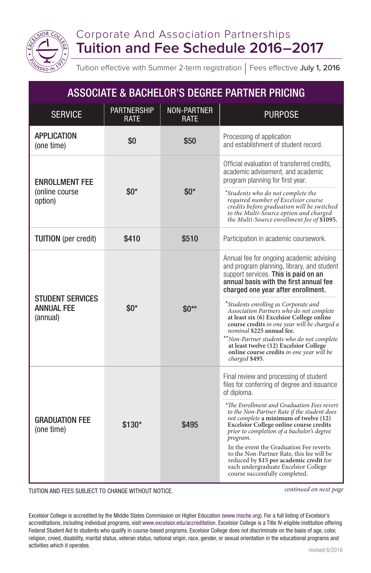

## Corporate And Association Partnerships **Tuition and Fee Schedule 2016–2017**

Tuition effective with Summer 2-term registration | Fees effective July 1, 2016

| <b>ASSOCIATE &amp; BACHELOR'S DEGREE PARTNER PRICING</b> |                                   |                                   |                                                                                                                                                                                                                                                                                                                                                                                                                                                                                                                                                                     |  |  |
|----------------------------------------------------------|-----------------------------------|-----------------------------------|---------------------------------------------------------------------------------------------------------------------------------------------------------------------------------------------------------------------------------------------------------------------------------------------------------------------------------------------------------------------------------------------------------------------------------------------------------------------------------------------------------------------------------------------------------------------|--|--|
| <b>SERVICE</b>                                           | <b>PARTNERSHIP</b><br><b>RATF</b> | <b>NON-PARTNER</b><br><b>RATF</b> | <b>PURPOSE</b>                                                                                                                                                                                                                                                                                                                                                                                                                                                                                                                                                      |  |  |
| <b>APPLICATION</b><br>(one time)                         | \$0                               | \$50                              | Processing of application<br>and establishment of student record.                                                                                                                                                                                                                                                                                                                                                                                                                                                                                                   |  |  |
| <b>ENROLLMENT FEE</b><br>(online course<br>option)       | $$0*$                             | $\$0*$                            | Official evaluation of transferred credits,<br>academic advisement, and academic<br>program planning for first year.<br>*Students who do not complete the<br>required number of Excelsior course<br>credits before graduation will be switched<br>to the Multi-Source option and charged<br>the Multi-Source enrollment fee of \$1095.                                                                                                                                                                                                                              |  |  |
| <b>TUITION</b> (per credit)                              | \$410                             | \$510                             | Participation in academic coursework.                                                                                                                                                                                                                                                                                                                                                                                                                                                                                                                               |  |  |
| <b>STUDENT SERVICES</b><br><b>ANNUAL FEE</b><br>(annual) | $$0*$                             | $\$0^{**}$                        | Annual fee for ongoing academic advising<br>and program planning, library, and student<br>support services. This is paid on an<br>annual basis with the first annual fee<br>charged one year after enrollment.<br>*Students enrolling as Corporate and<br>Association Partners who do not complete<br>at least six (6) Excelsior College online<br>course credits in one year will be charged a<br>nominal \$225 annual fee.<br>**Non-Partner students who do not complete<br>at least twelve (12) Excelsior College                                                |  |  |
|                                                          |                                   |                                   | online course credits in one year will be<br>charged \$495.                                                                                                                                                                                                                                                                                                                                                                                                                                                                                                         |  |  |
| GRADUATION FEE<br>(one time)                             | $$130*$                           | \$495                             | Final review and processing of student<br>files for conferring of degree and issuance<br>of diploma.<br>*The Enrollment and Graduation Fees revert<br>to the Non-Partner Rate if the student does<br>not complete a minimum of twelve (12)<br><b>Excelsior College online course credits</b><br>prior to completion of a bachelor's degree<br>program.<br>In the event the Graduation Fee reverts<br>to the Non-Partner Rate, this fee will be<br>reduced by \$15 per academic credit for<br>each undergraduate Excelsior College<br>course successfully completed. |  |  |

TUITION AND FEES SUBJECT TO CHANGE WITHOUT NOTICE.

*continued on next page*

Excelsior College is accredited by the Middle States Commission on Higher Education (www.msche.org). For a full listing of Excelsior's accreditations, including individual programs, visit www.excelsior.edu/accreditation. Excelsior College is a Title IV-eligible institution offering Federal Student Aid to students who qualify in course-based programs. Excelsior College does not discriminate on the basis of age, color, religion, creed, disability, marital status, veteran status, national origin, race, gender, or sexual orientation in the educational programs and activities which it operates.<br>
revised 6/2016